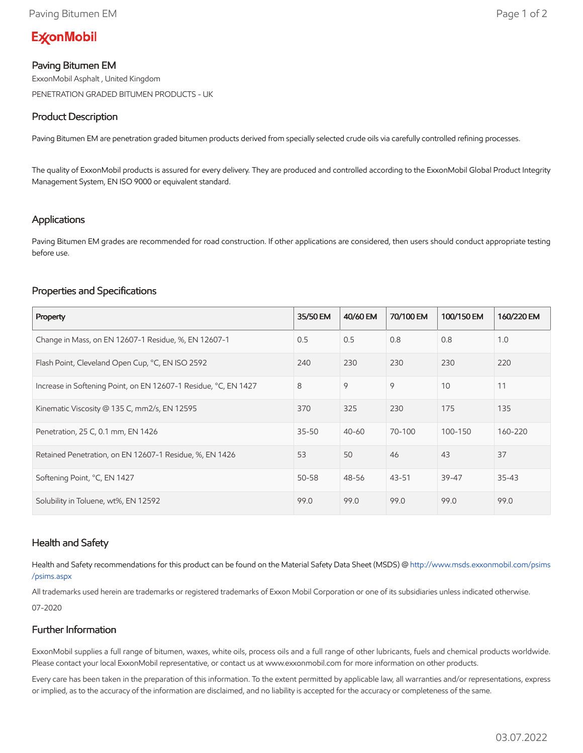# **ExconMobil**

### Paving Bitumen EM

ExxonMobil Asphalt , United Kingdom PENETRATION GRADED BITUMEN PRODUCTS - UK

#### Product Description

Paving Bitumen EM are penetration graded bitumen products derived from specially selected crude oils via carefully controlled refining processes.

The quality of ExxonMobil products is assured for every delivery. They are produced and controlled according to the ExxonMobil Global Product Integrity Management System, EN ISO 9000 or equivalent standard.

### Applications

Paving Bitumen EM grades are recommended for road construction. If other applications are considered, then users should conduct appropriate testing before use.

## Properties and Specifications

| Property                                                        | 35/50 EM  | 40/60 EM  | 70/100 EM | 100/150 EM | 160/220 EM |
|-----------------------------------------------------------------|-----------|-----------|-----------|------------|------------|
| Change in Mass, on EN 12607-1 Residue, %, EN 12607-1            | 0.5       | 0.5       | 0.8       | 0.8        | 1.0        |
| Flash Point, Cleveland Open Cup, °C, EN ISO 2592                | 240       | 230       | 230       | 230        | 220        |
| Increase in Softening Point, on EN 12607-1 Residue, °C, EN 1427 | 8         | 9         | 9         | 10         | 11         |
| Kinematic Viscosity @ 135 C, mm2/s, EN 12595                    | 370       | 325       | 230       | 175        | 135        |
| Penetration, 25 C, 0.1 mm, EN 1426                              | $35 - 50$ | $40 - 60$ | 70-100    | 100-150    | 160-220    |
| Retained Penetration, on EN 12607-1 Residue, %, EN 1426         | 53        | 50        | 46        | 43         | 37         |
| Softening Point, °C, EN 1427                                    | $50 - 58$ | 48-56     | $43 - 51$ | $39 - 47$  | $35 - 43$  |
| Solubility in Toluene, wt%, EN 12592                            | 99.0      | 99.0      | 99.0      | 99.0       | 99.0       |

### Health and Safety

Health and Safety recommendations for this product can be found on the Material Safety Data Sheet (MSDS) @ [http://www.msds.exxonmobil.com/psims](http://www.msds.exxonmobil.com/psims/psims.aspx) /psims.aspx

All trademarks used herein are trademarks or registered trademarks of Exxon Mobil Corporation or one of its subsidiaries unless indicated otherwise. 07-2020

## Further Information

ExxonMobil supplies a full range of bitumen, waxes, white oils, process oils and a full range of other lubricants, fuels and chemical products worldwide. Please contact your local ExxonMobil representative, or contact us at www.exxonmobil.com for more information on other products.

Every care has been taken in the preparation of this information. To the extent permitted by applicable law, all warranties and/or representations, express or implied, as to the accuracy of the information are disclaimed, and no liability is accepted for the accuracy or completeness of the same.